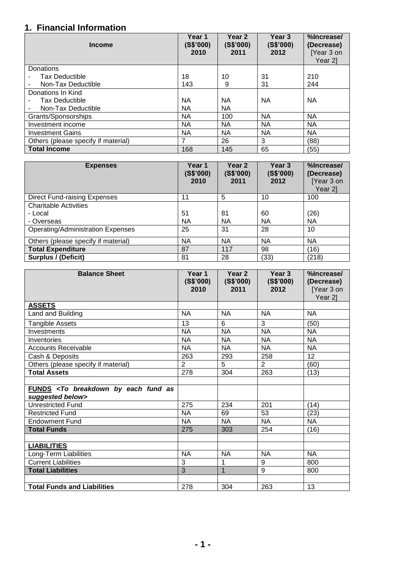## **1. Financial Information**

| <b>Income</b>                       | Year 1<br>(S\$'000)<br>2010 | Year <sub>2</sub><br>(S\$'000)<br>2011 | Year 3<br>(S\$'000)<br>2012 | %Increase/<br>(Decrease)<br>[Year 3 on<br>Year 21 |
|-------------------------------------|-----------------------------|----------------------------------------|-----------------------------|---------------------------------------------------|
| Donations                           |                             |                                        |                             |                                                   |
| <b>Tax Deductible</b>               | 18                          | 10                                     | 31                          | 210                                               |
| Non-Tax Deductible                  | 143                         | 9                                      | 31                          | 244                                               |
| Donations In Kind                   |                             |                                        |                             |                                                   |
| <b>Tax Deductible</b>               | <b>NA</b>                   | <b>NA</b>                              | <b>NA</b>                   | <b>NA</b>                                         |
| Non-Tax Deductible                  | <b>NA</b>                   | <b>NA</b>                              |                             |                                                   |
| Grants/Sponsorships                 | <b>NA</b>                   | 100                                    | <b>NA</b>                   | <b>NA</b>                                         |
| Investment income                   | <b>NA</b>                   | <b>NA</b>                              | <b>NA</b>                   | <b>NA</b>                                         |
| <b>Investment Gains</b>             | <b>NA</b>                   | <b>NA</b>                              | <b>NA</b>                   | <b>NA</b>                                         |
| Others (please specify if material) | 7                           | 26                                     | 3                           | (88)                                              |
| <b>Total Income</b>                 | 168                         | 145                                    | 65                          | (55)                                              |

| <b>Expenses</b>                          | Year 1<br>(S\$'000)<br>2010 | Year <sub>2</sub><br>(S\$'000)<br>2011 | Year <sub>3</sub><br>(S\$'000)<br>2012 | %Increase/<br>(Decrease)<br>[Year 3 on<br>Year 21 |
|------------------------------------------|-----------------------------|----------------------------------------|----------------------------------------|---------------------------------------------------|
| <b>Direct Fund-raising Expenses</b>      | 11                          | 5                                      | 10                                     | 100                                               |
| <b>Charitable Activities</b>             |                             |                                        |                                        |                                                   |
| - Local                                  | 51                          | 81                                     | 60                                     | (26)                                              |
| - Overseas                               | <b>NA</b>                   | NA                                     | NA.                                    | <b>NA</b>                                         |
| <b>Operating/Administration Expenses</b> | 25                          | 31                                     | 28                                     | 10                                                |
| Others (please specify if material)      | ΝA                          | <b>NA</b>                              | <b>NA</b>                              | <b>NA</b>                                         |
| <b>Total Expenditure</b>                 | 87                          | 117                                    | 98                                     | (16)                                              |
| Surplus / (Deficit)                      | 81                          | 28                                     | (33)                                   | (218)                                             |

| <b>Balance Sheet</b>                                                           | Year 1<br>(S\$'000)<br>2010 | Year <sub>2</sub><br>(S\$'000)<br>2011 | Year 3<br>(S\$'000)<br>2012 | %Increase/<br>(Decrease)<br>[Year 3 on<br>Year 2] |
|--------------------------------------------------------------------------------|-----------------------------|----------------------------------------|-----------------------------|---------------------------------------------------|
| <b>ASSETS</b>                                                                  |                             |                                        |                             |                                                   |
| Land and Building                                                              | <b>NA</b>                   | <b>NA</b>                              | <b>NA</b>                   | <b>NA</b>                                         |
| <b>Tangible Assets</b>                                                         | 13                          | 6                                      | 3                           | (50)                                              |
| Investments                                                                    | <b>NA</b>                   | <b>NA</b>                              | <b>NA</b>                   | <b>NA</b>                                         |
| Inventories                                                                    | <b>NA</b>                   | <b>NA</b>                              | <b>NA</b>                   | <b>NA</b>                                         |
| <b>Accounts Receivable</b>                                                     | <b>NA</b>                   | <b>NA</b>                              | <b>NA</b>                   | <b>NA</b>                                         |
| Cash & Deposits                                                                | 263                         | 293                                    | 258                         | 12                                                |
| Others (please specify if material)                                            | 2                           | 5                                      | $\overline{2}$              | (60)                                              |
| <b>Total Assets</b>                                                            | 278                         | 304                                    | 263                         | (13)                                              |
|                                                                                |                             |                                        |                             |                                                   |
| FUNDS <to as<br="" breakdown="" by="" each="" fund="">suggested below&gt;</to> |                             |                                        |                             |                                                   |
| Unrestricted Fund                                                              | 275                         | 234                                    | 201                         | (14)                                              |
| <b>Restricted Fund</b>                                                         | <b>NA</b>                   | 69                                     | 53                          | (23)                                              |
| <b>Endowment Fund</b>                                                          | <b>NA</b>                   | <b>NA</b>                              | <b>NA</b>                   | <b>NA</b>                                         |
| <b>Total Funds</b>                                                             | 275                         | 303                                    | 254                         | (16)                                              |
|                                                                                |                             |                                        |                             |                                                   |
| <b>LIABILITIES</b>                                                             |                             |                                        |                             |                                                   |
| Long-Term Liabilities                                                          | <b>NA</b>                   | <b>NA</b>                              | <b>NA</b>                   | <b>NA</b>                                         |
| <b>Current Liabilities</b>                                                     | 3                           | 1                                      | 9                           | 800                                               |
| <b>Total Liabilities</b>                                                       | 3                           | $\overline{1}$                         | 9                           | 800                                               |
|                                                                                |                             |                                        |                             |                                                   |
| <b>Total Funds and Liabilities</b>                                             | 278                         | 304                                    | 263                         | 13                                                |